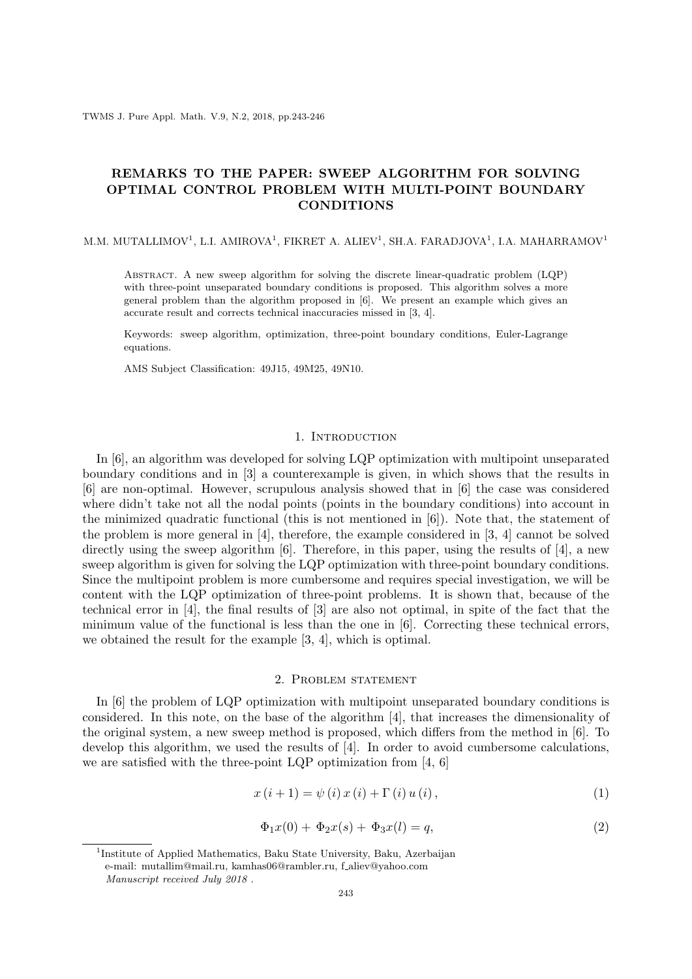## **REMARKS TO THE PAPER: SWEEP ALGORITHM FOR SOLVING OPTIMAL CONTROL PROBLEM WITH MULTI-POINT BOUNDARY CONDITIONS**

M.M. MUTALLIMOV<sup>1</sup>, L.I. AMIROVA<sup>1</sup>, FIKRET A. ALIEV<sup>1</sup>, SH.A. FARADJOVA<sup>1</sup>, I.A. MAHARRAMOV<sup>1</sup>

Abstract. A new sweep algorithm for solving the discrete linear-quadratic problem (LQP) with three-point unseparated boundary conditions is proposed. This algorithm solves a more general problem than the algorithm proposed in [6]. We present an example which gives an accurate result and corrects technical inaccuracies missed in [3, 4].

Keywords: sweep algorithm, optimization, three-point boundary conditions, Euler-Lagrange equations.

AMS Subject Classification: 49J15, 49M25, 49N10.

## 1. INTRODUCTION

In [6], an algorithm was developed for solving LQP optimization with multipoint unseparated boundary conditions and in [3] a counterexample is given, in which shows that the results in [6] are non-optimal. However, scrupulous analysis showed that in [6] the case was considered where didn't take not all the nodal points (points in the boundary conditions) into account in the minimized quadratic functional (this is not mentioned in [6]). Note that, the statement of the problem is more general in [4], therefore, the example considered in [3, 4] cannot be solved directly using the sweep algorithm  $[6]$ . Therefore, in this paper, using the results of  $[4]$ , a new sweep algorithm is given for solving the LQP optimization with three-point boundary conditions. Since the multipoint problem is more cumbersome and requires special investigation, we will be content with the LQP optimization of three-point problems. It is shown that, because of the technical error in [4], the final results of [3] are also not optimal, in spite of the fact that the minimum value of the functional is less than the one in [6]. Correcting these technical errors, we obtained the result for the example [3, 4], which is optimal.

## 2. Problem statement

In [6] the problem of LQP optimization with multipoint unseparated boundary conditions is considered. In this note, on the base of the algorithm [4], that increases the dimensionality of the original system, a new sweep method is proposed, which differs from the method in [6]. To develop this algorithm, we used the results of [4]. In order to avoid cumbersome calculations, we are satisfied with the three-point LQP optimization from [4, 6]

$$
x(i + 1) = \psi(i) x(i) + \Gamma(i) u(i),
$$
\n(1)

$$
\Phi_1 x(0) + \Phi_2 x(s) + \Phi_3 x(l) = q,\tag{2}
$$

<sup>&</sup>lt;sup>1</sup>Institute of Applied Mathematics, Baku State University, Baku, Azerbaijan e-mail: mutallim@mail.ru, kamhas06@rambler.ru, f\_aliev@yahoo.com *Manuscript received July 2018 .*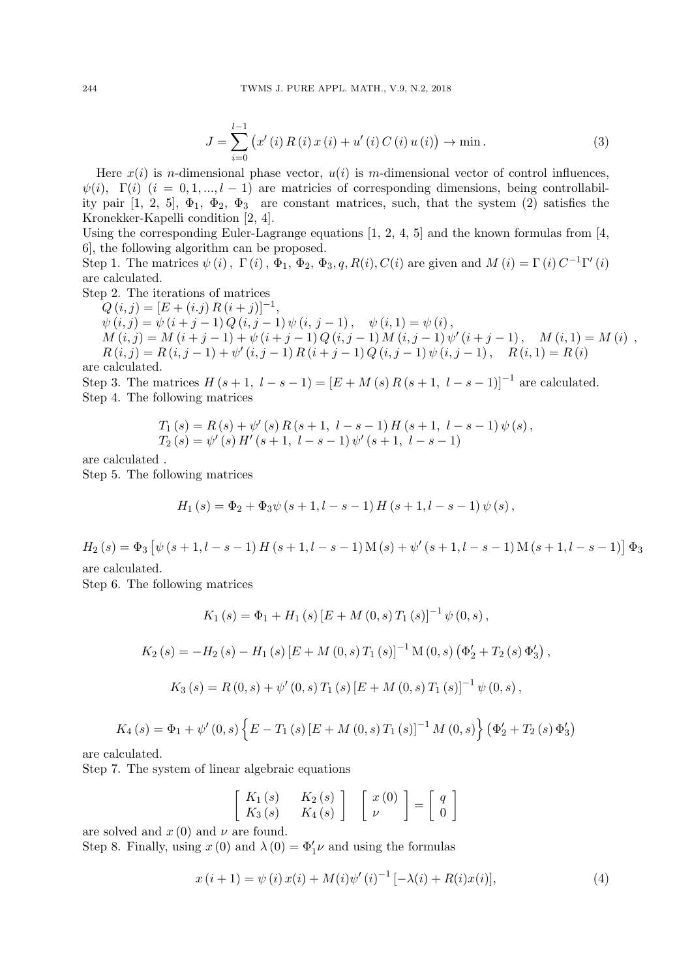$$
J = \sum_{i=0}^{l-1} (x'(i) R(i) x(i) + u'(i) C(i) u(i)) \to \min.
$$
 (3)

Here  $x(i)$  is *n*-dimensional phase vector,  $u(i)$  is *m*-dimensional vector of control influences,  $\psi(i)$ ,  $\Gamma(i)$  ( $i = 0, 1, \ldots, l - 1$ ) are matricies of corresponding dimensions, being controllability pair  $[1, 2, 5]$ ,  $\Phi_1$ ,  $\Phi_2$ ,  $\Phi_3$  are constant matrices, such, that the system  $(2)$  satisfies the Kronekker-Kapelli condition [2, 4].

Using the corresponding Euler-Lagrange equations  $[1, 2, 4, 5]$  and the known formulas from  $[4, 4, 5]$ 6], the following algorithm can be proposed.

Step 1. The matrices  $\psi(i)$ ,  $\Gamma(i)$ ,  $\Phi_1$ ,  $\Phi_2$ ,  $\Phi_3$ , q,  $R(i)$ ,  $C(i)$  are given and  $M(i) = \Gamma(i) C^{-1} \Gamma'(i)$ are calculated.

Step 2. The iterations of matrices

 $Q(i, j) = [E + (i \cdot j) R (i + j)]^{-1}$ 

 $\psi(i, j) = \psi(i + j - 1) Q(i, j - 1) \psi(i, j - 1), \quad \psi(i, 1) = \psi(i),$  $M(i,j) = M(i+j-1) + \psi(i+j-1) Q(i,j-1) M(i,j-1) \psi'(i+j-1), \quad M(i,1) = M(i)$  $R(i, j) = R(i, j - 1) + \psi'(i, j - 1) R(i + j - 1) Q(i, j - 1) \psi(i, j - 1), \quad R(i, 1) = R(i)$ 

are calculated.

Step 3. The matrices  $H(s + 1, l - s - 1) = [E + M(s) R(s + 1, l - s - 1)]^{-1}$  are calculated. Step 4. The following matrices

$$
T_1(s) = R(s) + \psi'(s) R(s+1, l-s-1) H(s+1, l-s-1) \psi(s),
$$
  
\n
$$
T_2(s) = \psi'(s) H'(s+1, l-s-1) \psi'(s+1, l-s-1)
$$

are calculated .

Step 5. The following matrices

$$
H_1(s) = \Phi_2 + \Phi_3 \psi (s+1, l-s-1) H (s+1, l-s-1) \psi (s),
$$

 $H_2(s) = \Phi_3 \left[ \psi \left( s + 1, l - s - 1 \right) H \left( s + 1, l - s - 1 \right) M(s) + \psi' \left( s + 1, l - s - 1 \right) M \left( s + 1, l - s - 1 \right) \right] \Phi_3$ 

are calculated.

Step 6. The following matrices

$$
K_{1}(s) = \Phi_{1} + H_{1}(s) [E + M(0, s) T_{1}(s)]^{-1} \psi(0, s),
$$
  
\n
$$
K_{2}(s) = -H_{2}(s) - H_{1}(s) [E + M(0, s) T_{1}(s)]^{-1} M(0, s) (\Phi_{2}' + T_{2}(s) \Phi_{3}'),
$$
  
\n
$$
K_{3}(s) = R(0, s) + \psi'(0, s) T_{1}(s) [E + M(0, s) T_{1}(s)]^{-1} \psi(0, s),
$$

$$
K_{4}(s) = \Phi_{1} + \psi'(0, s) \left\{ E - T_{1}(s) \left[ E + M(0, s) T_{1}(s) \right]^{-1} M(0, s) \right\} (\Phi_{2}' + T_{2}(s) \Phi_{3}')
$$

are calculated.

Step 7. The system of linear algebraic equations

$$
\left[\begin{array}{cc} K_1(s) & K_2(s) \\ K_3(s) & K_4(s) \end{array}\right] \left[\begin{array}{c} x(0) \\ \nu \end{array}\right] = \left[\begin{array}{c} q \\ 0 \end{array}\right]
$$

are solved and  $x(0)$  and  $\nu$  are found. Step 8. Finally, using  $x(0)$  and  $\lambda(0) = \Phi'_1 \nu$  and using the formulas

$$
x(i + 1) = \psi(i) x(i) + M(i)\psi'(i)^{-1} [-\lambda(i) + R(i)x(i)],
$$
\n(4)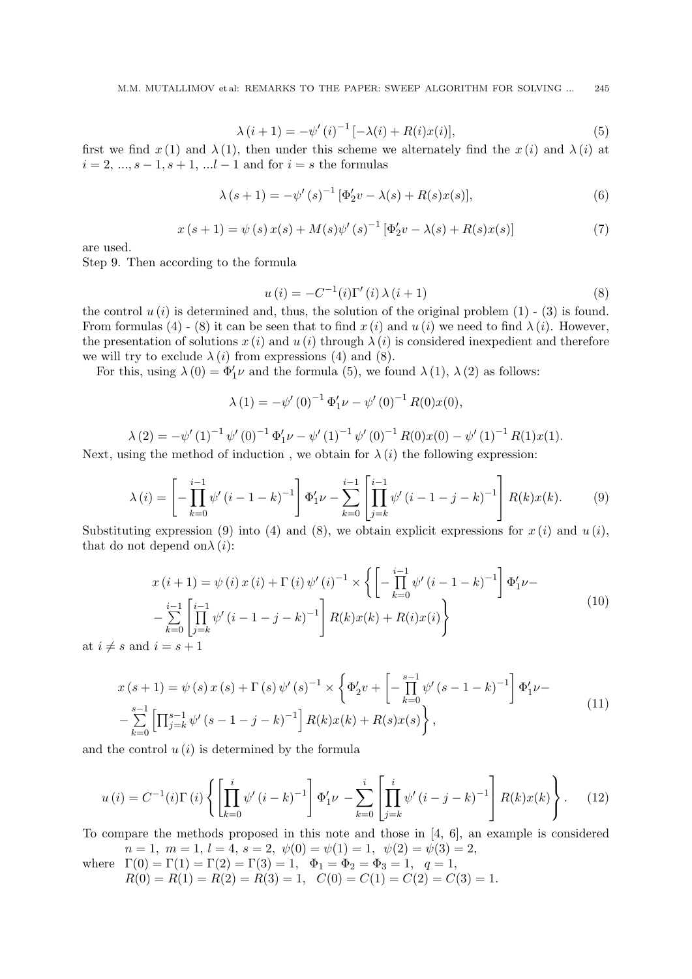$$
\lambda (i + 1) = -\psi'(i)^{-1} [-\lambda(i) + R(i)x(i)],
$$
\n(5)

first we find  $x(1)$  and  $\lambda(1)$ , then under this scheme we alternately find the  $x(i)$  and  $\lambda(i)$  at *i* = 2*, ..., s −* 1*, s* + 1*, ...l −* 1 and for *i* = *s* the formulas

$$
\lambda (s+1) = -\psi'(s)^{-1} [\Phi'_2 v - \lambda(s) + R(s)x(s)],
$$
\n(6)

$$
x(s+1) = \psi(s) x(s) + M(s) \psi'(s)^{-1} [\Phi'_2 v - \lambda(s) + R(s) x(s)] \tag{7}
$$

are used.

Step 9. Then according to the formula

$$
u(i) = -C^{-1}(i)\Gamma'(i)\,\lambda\,(i+1)
$$
\n(8)

the control  $u(i)$  is determined and, thus, the solution of the original problem  $(1)$  -  $(3)$  is found. From formulas (4) - (8) it can be seen that to find  $x(i)$  and  $u(i)$  we need to find  $\lambda(i)$ . However, the presentation of solutions  $x(i)$  and  $u(i)$  through  $\lambda(i)$  is considered inexpedient and therefore we will try to exclude  $\lambda(i)$  from expressions (4) and (8).

For this, using  $\lambda(0) = \Phi'_1 \nu$  and the formula (5), we found  $\lambda(1)$ ,  $\lambda(2)$  as follows:

$$
\lambda(1) = -\psi'(0)^{-1} \Phi'_1 \nu - \psi'(0)^{-1} R(0) x(0),
$$

$$
\lambda(2) = -\psi'(1)^{-1} \psi'(0)^{-1} \Phi'_1 \nu - \psi'(1)^{-1} \psi'(0)^{-1} R(0) x(0) - \psi'(1)^{-1} R(1) x(1).
$$

Next, using the method of induction, we obtain for  $\lambda(i)$  the following expression:

$$
\lambda(i) = \left[ -\prod_{k=0}^{i-1} \psi'(i-1-k)^{-1} \right] \Phi'_1 \nu - \sum_{k=0}^{i-1} \left[ \prod_{j=k}^{i-1} \psi'(i-1-j-k)^{-1} \right] R(k)x(k).
$$
 (9)

Substituting expression (9) into (4) and (8), we obtain explicit expressions for  $x(i)$  and  $u(i)$ , that do not depend on $\lambda(i)$ :

$$
x(i+1) = \psi(i) x(i) + \Gamma(i) \psi'(i)^{-1} \times \left\{ \left[ -\prod_{k=0}^{i-1} \psi'(i-1-k)^{-1} \right] \Phi'_1 \nu - \sum_{k=0}^{i-1} \left[ \prod_{j=k}^{i-1} \psi'(i-1-j-k)^{-1} \right] R(k) x(k) + R(i) x(i) \right\}
$$
\n
$$
i = s+1
$$
\n(10)

at  $i \neq s$  and

$$
x(s+1) = \psi(s) x(s) + \Gamma(s) \psi'(s)^{-1} \times \left\{ \Phi'_2 v + \left[ -\prod_{k=0}^{s-1} \psi'(s-1-k)^{-1} \right] \Phi'_1 \nu - \sum_{k=0}^{s-1} \left[ \prod_{j=k}^{s-1} \psi'(s-1-j-k)^{-1} \right] R(k) x(k) + R(s) x(s) \right\},
$$
\n(11)

and the control  $u(i)$  is determined by the formula

$$
u(i) = C^{-1}(i)\Gamma(i) \left\{ \left[ \prod_{k=0}^{i} \psi'(i-k)^{-1} \right] \Phi'_{1} \nu - \sum_{k=0}^{i} \left[ \prod_{j=k}^{i} \psi'(i-j-k)^{-1} \right] R(k)x(k) \right\}.
$$
 (12)

To compare the methods proposed in this note and those in [4, 6], an example is considered  $n = 1, m = 1, l = 4, s = 2, \psi(0) = \psi(1) = 1, \psi(2) = \psi(3) = 2,$ 

where 
$$
\Gamma(0) = \Gamma(1) = \Gamma(2) = \Gamma(3) = 1
$$
,  $\Phi_1 = \Phi_2 = \Phi_3 = 1$ ,  $q = 1$ ,  
\n $R(0) = R(1) = R(2) = R(3) = 1$ ,  $C(0) = C(1) = C(2) = C(3) = 1$ .